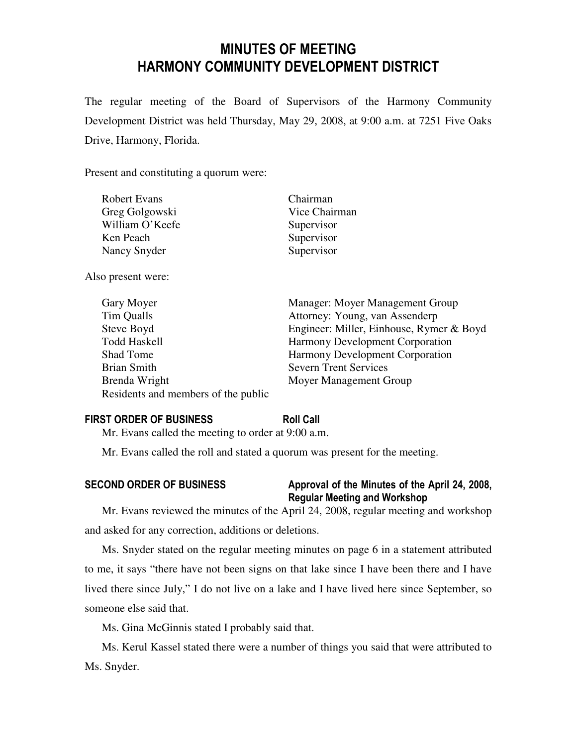# MINUTES OF MEETING HARMONY COMMUNITY DEVELOPMENT DISTRICT

The regular meeting of the Board of Supervisors of the Harmony Community Development District was held Thursday, May 29, 2008, at 9:00 a.m. at 7251 Five Oaks Drive, Harmony, Florida.

Present and constituting a quorum were:

| <b>Robert Evans</b> | Chairman      |
|---------------------|---------------|
| Greg Golgowski      | Vice Chairman |
| William O'Keefe     | Supervisor    |
| Ken Peach           | Supervisor    |
| Nancy Snyder        | Supervisor    |
|                     |               |

Also present were:

| Gary Moyer                          | Manager: Moyer Management Group          |
|-------------------------------------|------------------------------------------|
| Tim Qualls                          | Attorney: Young, van Assenderp           |
| Steve Boyd                          | Engineer: Miller, Einhouse, Rymer & Boyd |
| <b>Todd Haskell</b>                 | <b>Harmony Development Corporation</b>   |
| <b>Shad Tome</b>                    | <b>Harmony Development Corporation</b>   |
| <b>Brian Smith</b>                  | <b>Severn Trent Services</b>             |
| Brenda Wright                       | Moyer Management Group                   |
| Residents and members of the public |                                          |

### FIRST ORDER OF BUSINESS Roll Call

Mr. Evans called the meeting to order at 9:00 a.m.

Mr. Evans called the roll and stated a quorum was present for the meeting.

# SECOND ORDER OF BUSINESS Approval of the Minutes of the April 24, 2008, Regular Meeting and Workshop

Mr. Evans reviewed the minutes of the April 24, 2008, regular meeting and workshop and asked for any correction, additions or deletions.

Ms. Snyder stated on the regular meeting minutes on page 6 in a statement attributed to me, it says "there have not been signs on that lake since I have been there and I have lived there since July," I do not live on a lake and I have lived here since September, so someone else said that.

Ms. Gina McGinnis stated I probably said that.

Ms. Kerul Kassel stated there were a number of things you said that were attributed to Ms. Snyder.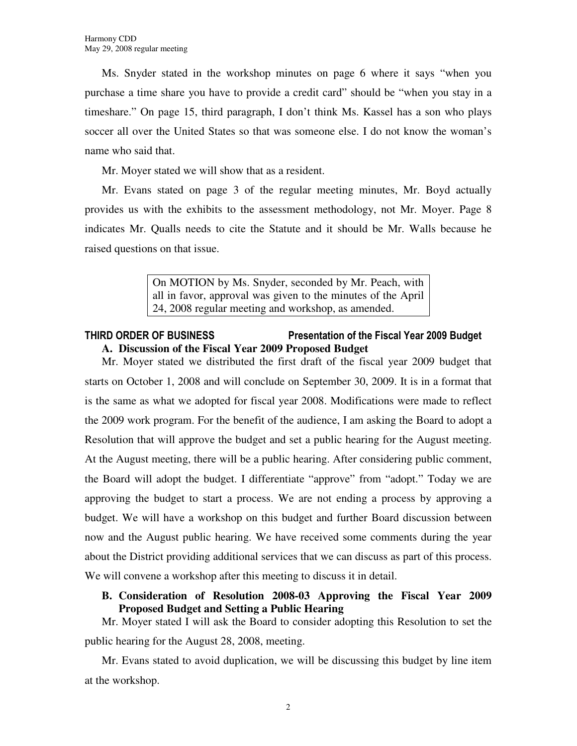Ms. Snyder stated in the workshop minutes on page 6 where it says "when you purchase a time share you have to provide a credit card" should be "when you stay in a timeshare." On page 15, third paragraph, I don't think Ms. Kassel has a son who plays soccer all over the United States so that was someone else. I do not know the woman's name who said that.

Mr. Moyer stated we will show that as a resident.

Mr. Evans stated on page 3 of the regular meeting minutes, Mr. Boyd actually provides us with the exhibits to the assessment methodology, not Mr. Moyer. Page 8 indicates Mr. Qualls needs to cite the Statute and it should be Mr. Walls because he raised questions on that issue.

> On MOTION by Ms. Snyder, seconded by Mr. Peach, with all in favor, approval was given to the minutes of the April 24, 2008 regular meeting and workshop, as amended.

# THIRD ORDER OF BUSINESS Presentation of the Fiscal Year 2009 Budget **A. Discussion of the Fiscal Year 2009 Proposed Budget**

Mr. Moyer stated we distributed the first draft of the fiscal year 2009 budget that starts on October 1, 2008 and will conclude on September 30, 2009. It is in a format that is the same as what we adopted for fiscal year 2008. Modifications were made to reflect the 2009 work program. For the benefit of the audience, I am asking the Board to adopt a Resolution that will approve the budget and set a public hearing for the August meeting. At the August meeting, there will be a public hearing. After considering public comment, the Board will adopt the budget. I differentiate "approve" from "adopt." Today we are approving the budget to start a process. We are not ending a process by approving a budget. We will have a workshop on this budget and further Board discussion between now and the August public hearing. We have received some comments during the year about the District providing additional services that we can discuss as part of this process. We will convene a workshop after this meeting to discuss it in detail.

**B. Consideration of Resolution 2008-03 Approving the Fiscal Year 2009 Proposed Budget and Setting a Public Hearing** 

Mr. Moyer stated I will ask the Board to consider adopting this Resolution to set the public hearing for the August 28, 2008, meeting.

Mr. Evans stated to avoid duplication, we will be discussing this budget by line item at the workshop.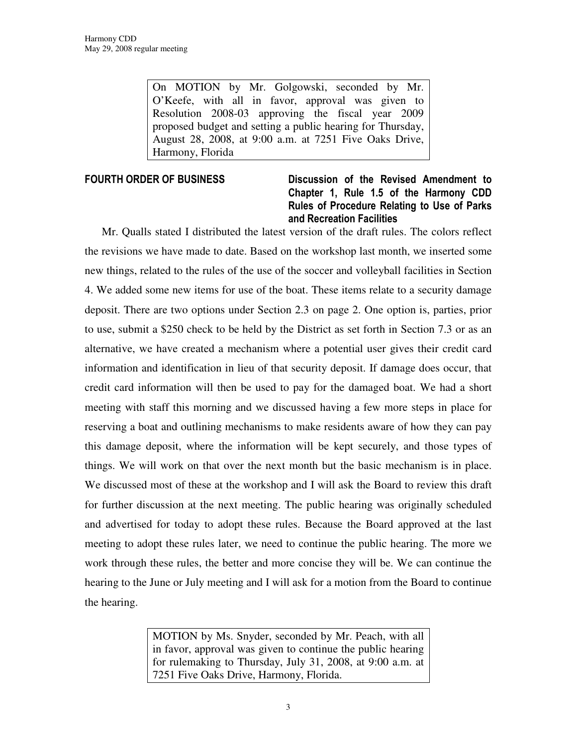On MOTION by Mr. Golgowski, seconded by Mr. O'Keefe, with all in favor, approval was given to Resolution 2008-03 approving the fiscal year 2009 proposed budget and setting a public hearing for Thursday, August 28, 2008, at 9:00 a.m. at 7251 Five Oaks Drive, Harmony, Florida

# FOURTH ORDER OF BUSINESS **Discussion** of the Revised Amendment to Chapter 1, Rule 1.5 of the Harmony CDD Rules of Procedure Relating to Use of Parks and Recreation Facilities

Mr. Qualls stated I distributed the latest version of the draft rules. The colors reflect the revisions we have made to date. Based on the workshop last month, we inserted some new things, related to the rules of the use of the soccer and volleyball facilities in Section 4. We added some new items for use of the boat. These items relate to a security damage deposit. There are two options under Section 2.3 on page 2. One option is, parties, prior to use, submit a \$250 check to be held by the District as set forth in Section 7.3 or as an alternative, we have created a mechanism where a potential user gives their credit card information and identification in lieu of that security deposit. If damage does occur, that credit card information will then be used to pay for the damaged boat. We had a short meeting with staff this morning and we discussed having a few more steps in place for reserving a boat and outlining mechanisms to make residents aware of how they can pay this damage deposit, where the information will be kept securely, and those types of things. We will work on that over the next month but the basic mechanism is in place. We discussed most of these at the workshop and I will ask the Board to review this draft for further discussion at the next meeting. The public hearing was originally scheduled and advertised for today to adopt these rules. Because the Board approved at the last meeting to adopt these rules later, we need to continue the public hearing. The more we work through these rules, the better and more concise they will be. We can continue the hearing to the June or July meeting and I will ask for a motion from the Board to continue the hearing.

> MOTION by Ms. Snyder, seconded by Mr. Peach, with all in favor, approval was given to continue the public hearing for rulemaking to Thursday, July 31, 2008, at 9:00 a.m. at 7251 Five Oaks Drive, Harmony, Florida.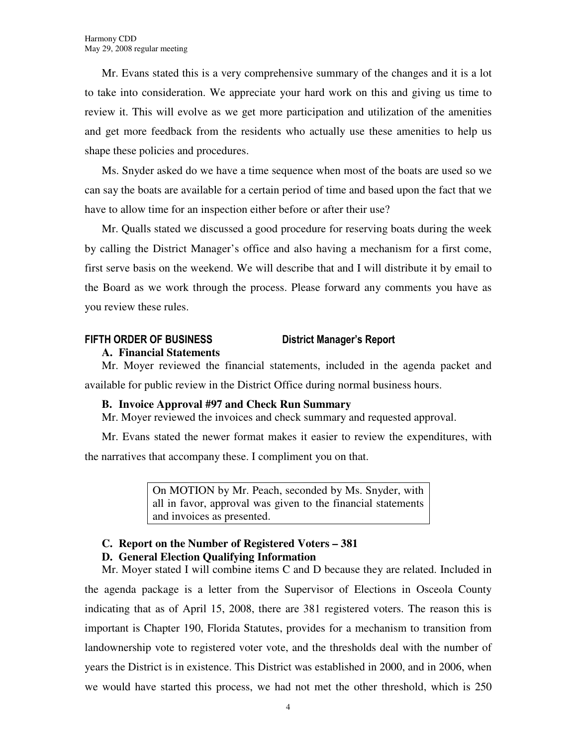Mr. Evans stated this is a very comprehensive summary of the changes and it is a lot to take into consideration. We appreciate your hard work on this and giving us time to review it. This will evolve as we get more participation and utilization of the amenities and get more feedback from the residents who actually use these amenities to help us shape these policies and procedures.

Ms. Snyder asked do we have a time sequence when most of the boats are used so we can say the boats are available for a certain period of time and based upon the fact that we have to allow time for an inspection either before or after their use?

Mr. Qualls stated we discussed a good procedure for reserving boats during the week by calling the District Manager's office and also having a mechanism for a first come, first serve basis on the weekend. We will describe that and I will distribute it by email to the Board as we work through the process. Please forward any comments you have as you review these rules.

# FIFTH ORDER OF BUSINESS District Manager's Report

# **A. Financial Statements**

Mr. Moyer reviewed the financial statements, included in the agenda packet and available for public review in the District Office during normal business hours.

# **B. Invoice Approval #97 and Check Run Summary**

Mr. Moyer reviewed the invoices and check summary and requested approval.

Mr. Evans stated the newer format makes it easier to review the expenditures, with the narratives that accompany these. I compliment you on that.

> On MOTION by Mr. Peach, seconded by Ms. Snyder, with all in favor, approval was given to the financial statements and invoices as presented.

### **C. Report on the Number of Registered Voters – 381 D. General Election Qualifying Information**

Mr. Moyer stated I will combine items C and D because they are related. Included in the agenda package is a letter from the Supervisor of Elections in Osceola County indicating that as of April 15, 2008, there are 381 registered voters. The reason this is important is Chapter 190, Florida Statutes, provides for a mechanism to transition from landownership vote to registered voter vote, and the thresholds deal with the number of years the District is in existence. This District was established in 2000, and in 2006, when we would have started this process, we had not met the other threshold, which is 250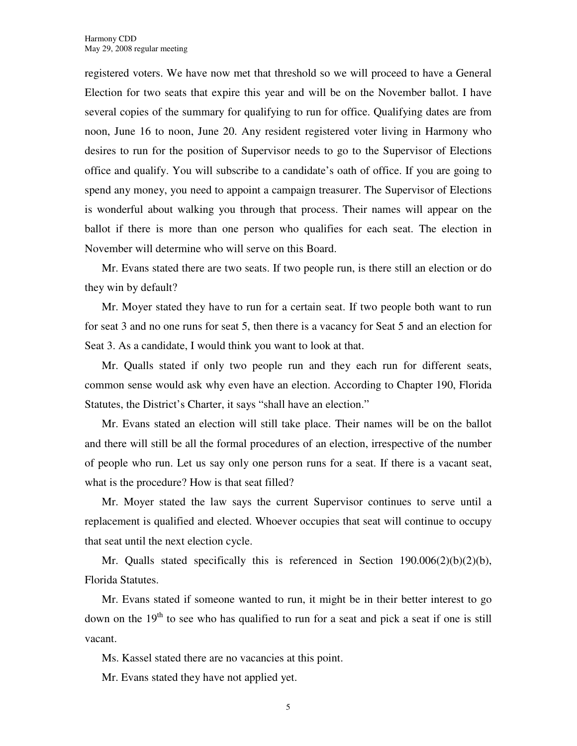registered voters. We have now met that threshold so we will proceed to have a General Election for two seats that expire this year and will be on the November ballot. I have several copies of the summary for qualifying to run for office. Qualifying dates are from noon, June 16 to noon, June 20. Any resident registered voter living in Harmony who desires to run for the position of Supervisor needs to go to the Supervisor of Elections office and qualify. You will subscribe to a candidate's oath of office. If you are going to spend any money, you need to appoint a campaign treasurer. The Supervisor of Elections is wonderful about walking you through that process. Their names will appear on the ballot if there is more than one person who qualifies for each seat. The election in November will determine who will serve on this Board.

Mr. Evans stated there are two seats. If two people run, is there still an election or do they win by default?

Mr. Moyer stated they have to run for a certain seat. If two people both want to run for seat 3 and no one runs for seat 5, then there is a vacancy for Seat 5 and an election for Seat 3. As a candidate, I would think you want to look at that.

Mr. Qualls stated if only two people run and they each run for different seats, common sense would ask why even have an election. According to Chapter 190, Florida Statutes, the District's Charter, it says "shall have an election."

Mr. Evans stated an election will still take place. Their names will be on the ballot and there will still be all the formal procedures of an election, irrespective of the number of people who run. Let us say only one person runs for a seat. If there is a vacant seat, what is the procedure? How is that seat filled?

Mr. Moyer stated the law says the current Supervisor continues to serve until a replacement is qualified and elected. Whoever occupies that seat will continue to occupy that seat until the next election cycle.

Mr. Qualls stated specifically this is referenced in Section  $190.006(2)(b)(2)(b)$ , Florida Statutes.

Mr. Evans stated if someone wanted to run, it might be in their better interest to go down on the  $19<sup>th</sup>$  to see who has qualified to run for a seat and pick a seat if one is still vacant.

Ms. Kassel stated there are no vacancies at this point.

Mr. Evans stated they have not applied yet.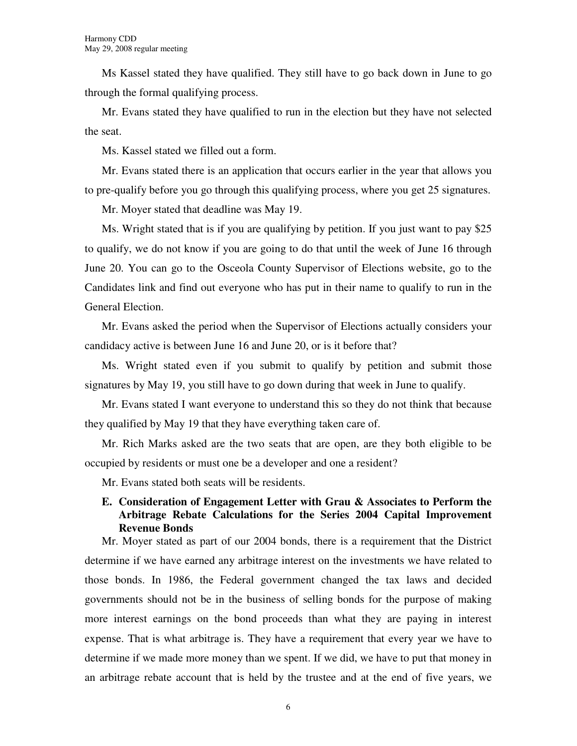Ms Kassel stated they have qualified. They still have to go back down in June to go through the formal qualifying process.

Mr. Evans stated they have qualified to run in the election but they have not selected the seat.

Ms. Kassel stated we filled out a form.

Mr. Evans stated there is an application that occurs earlier in the year that allows you to pre-qualify before you go through this qualifying process, where you get 25 signatures.

Mr. Moyer stated that deadline was May 19.

Ms. Wright stated that is if you are qualifying by petition. If you just want to pay \$25 to qualify, we do not know if you are going to do that until the week of June 16 through June 20. You can go to the Osceola County Supervisor of Elections website, go to the Candidates link and find out everyone who has put in their name to qualify to run in the General Election.

Mr. Evans asked the period when the Supervisor of Elections actually considers your candidacy active is between June 16 and June 20, or is it before that?

Ms. Wright stated even if you submit to qualify by petition and submit those signatures by May 19, you still have to go down during that week in June to qualify.

Mr. Evans stated I want everyone to understand this so they do not think that because they qualified by May 19 that they have everything taken care of.

Mr. Rich Marks asked are the two seats that are open, are they both eligible to be occupied by residents or must one be a developer and one a resident?

Mr. Evans stated both seats will be residents.

# **E. Consideration of Engagement Letter with Grau & Associates to Perform the Arbitrage Rebate Calculations for the Series 2004 Capital Improvement Revenue Bonds**

Mr. Moyer stated as part of our 2004 bonds, there is a requirement that the District determine if we have earned any arbitrage interest on the investments we have related to those bonds. In 1986, the Federal government changed the tax laws and decided governments should not be in the business of selling bonds for the purpose of making more interest earnings on the bond proceeds than what they are paying in interest expense. That is what arbitrage is. They have a requirement that every year we have to determine if we made more money than we spent. If we did, we have to put that money in an arbitrage rebate account that is held by the trustee and at the end of five years, we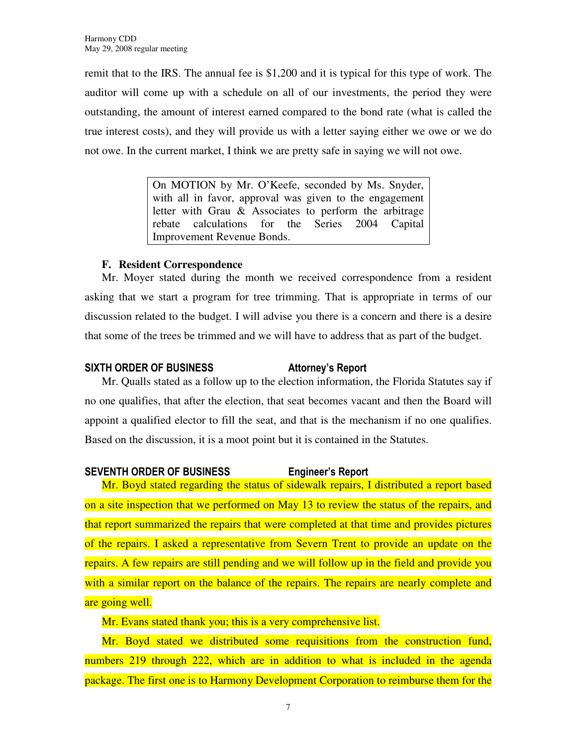remit that to the IRS. The annual fee is \$1,200 and it is typical for this type of work. The auditor will come up with a schedule on all of our investments, the period they were outstanding, the amount of interest earned compared to the bond rate (what is called the true interest costs), and they will provide us with a letter saying either we owe or we do not owe. In the current market, I think we are pretty safe in saying we will not owe.

> On MOTION by Mr. O'Keefe, seconded by Ms. Snyder, with all in favor, approval was given to the engagement letter with Grau & Associates to perform the arbitrage rebate calculations for the Series 2004 Capital Improvement Revenue Bonds.

# **F. Resident Correspondence**

Mr. Moyer stated during the month we received correspondence from a resident asking that we start a program for tree trimming. That is appropriate in terms of our discussion related to the budget. I will advise you there is a concern and there is a desire that some of the trees be trimmed and we will have to address that as part of the budget.

# SIXTH ORDER OF BUSINESS Attorney's Report

Mr. Qualls stated as a follow up to the election information, the Florida Statutes say if no one qualifies, that after the election, that seat becomes vacant and then the Board will appoint a qualified elector to fill the seat, and that is the mechanism if no one qualifies. Based on the discussion, it is a moot point but it is contained in the Statutes.

# SEVENTH ORDER OF BUSINESS Engineer's Report

Mr. Boyd stated regarding the status of sidewalk repairs, I distributed a report based on a site inspection that we performed on May 13 to review the status of the repairs, and that report summarized the repairs that were completed at that time and provides pictures of the repairs. I asked a representative from Severn Trent to provide an update on the repairs. A few repairs are still pending and we will follow up in the field and provide you with a similar report on the balance of the repairs. The repairs are nearly complete and are going well.

Mr. Evans stated thank you; this is a very comprehensive list.

Mr. Boyd stated we distributed some requisitions from the construction fund, numbers 219 through 222, which are in addition to what is included in the agenda package. The first one is to Harmony Development Corporation to reimburse them for the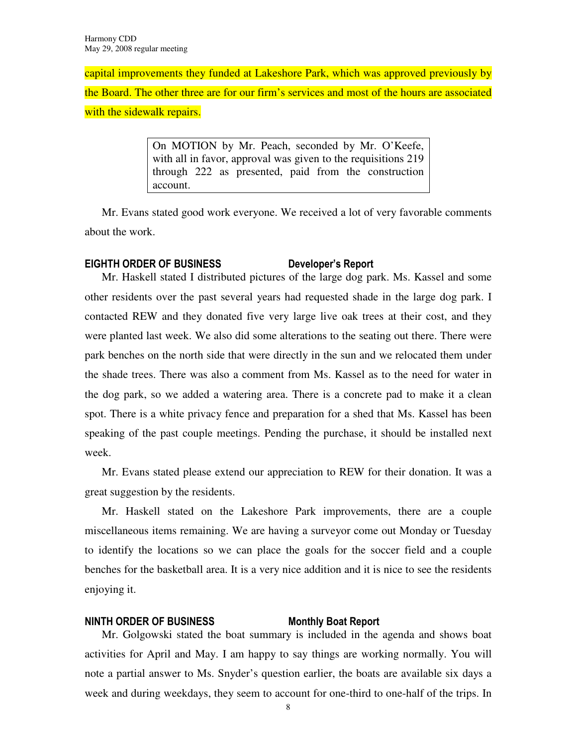capital improvements they funded at Lakeshore Park, which was approved previously by the Board. The other three are for our firm's services and most of the hours are associated with the sidewalk repairs.

> On MOTION by Mr. Peach, seconded by Mr. O'Keefe, with all in favor, approval was given to the requisitions 219 through 222 as presented, paid from the construction account.

Mr. Evans stated good work everyone. We received a lot of very favorable comments about the work.

# EIGHTH ORDER OF BUSINESS Developer's Report

Mr. Haskell stated I distributed pictures of the large dog park. Ms. Kassel and some other residents over the past several years had requested shade in the large dog park. I contacted REW and they donated five very large live oak trees at their cost, and they were planted last week. We also did some alterations to the seating out there. There were park benches on the north side that were directly in the sun and we relocated them under the shade trees. There was also a comment from Ms. Kassel as to the need for water in the dog park, so we added a watering area. There is a concrete pad to make it a clean spot. There is a white privacy fence and preparation for a shed that Ms. Kassel has been speaking of the past couple meetings. Pending the purchase, it should be installed next week.

Mr. Evans stated please extend our appreciation to REW for their donation. It was a great suggestion by the residents.

Mr. Haskell stated on the Lakeshore Park improvements, there are a couple miscellaneous items remaining. We are having a surveyor come out Monday or Tuesday to identify the locations so we can place the goals for the soccer field and a couple benches for the basketball area. It is a very nice addition and it is nice to see the residents enjoying it.

### NINTH ORDER OF BUSINESS Monthly Boat Report

Mr. Golgowski stated the boat summary is included in the agenda and shows boat activities for April and May. I am happy to say things are working normally. You will note a partial answer to Ms. Snyder's question earlier, the boats are available six days a week and during weekdays, they seem to account for one-third to one-half of the trips. In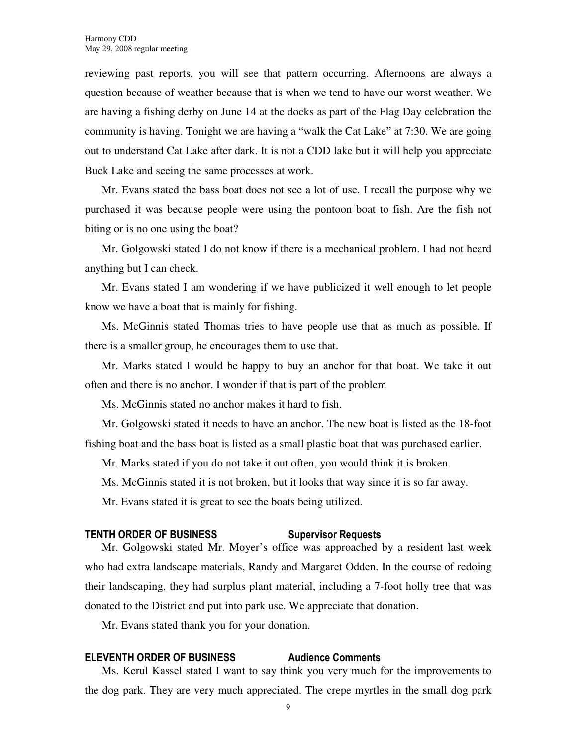reviewing past reports, you will see that pattern occurring. Afternoons are always a question because of weather because that is when we tend to have our worst weather. We are having a fishing derby on June 14 at the docks as part of the Flag Day celebration the community is having. Tonight we are having a "walk the Cat Lake" at 7:30. We are going out to understand Cat Lake after dark. It is not a CDD lake but it will help you appreciate Buck Lake and seeing the same processes at work.

Mr. Evans stated the bass boat does not see a lot of use. I recall the purpose why we purchased it was because people were using the pontoon boat to fish. Are the fish not biting or is no one using the boat?

Mr. Golgowski stated I do not know if there is a mechanical problem. I had not heard anything but I can check.

Mr. Evans stated I am wondering if we have publicized it well enough to let people know we have a boat that is mainly for fishing.

Ms. McGinnis stated Thomas tries to have people use that as much as possible. If there is a smaller group, he encourages them to use that.

Mr. Marks stated I would be happy to buy an anchor for that boat. We take it out often and there is no anchor. I wonder if that is part of the problem

Ms. McGinnis stated no anchor makes it hard to fish.

Mr. Golgowski stated it needs to have an anchor. The new boat is listed as the 18-foot fishing boat and the bass boat is listed as a small plastic boat that was purchased earlier.

Mr. Marks stated if you do not take it out often, you would think it is broken.

Ms. McGinnis stated it is not broken, but it looks that way since it is so far away.

Mr. Evans stated it is great to see the boats being utilized.

#### TENTH ORDER OF BUSINESS Supervisor Requests

Mr. Golgowski stated Mr. Moyer's office was approached by a resident last week who had extra landscape materials, Randy and Margaret Odden. In the course of redoing their landscaping, they had surplus plant material, including a 7-foot holly tree that was donated to the District and put into park use. We appreciate that donation.

Mr. Evans stated thank you for your donation.

#### ELEVENTH ORDER OF BUSINESS Audience Comments

Ms. Kerul Kassel stated I want to say think you very much for the improvements to the dog park. They are very much appreciated. The crepe myrtles in the small dog park

9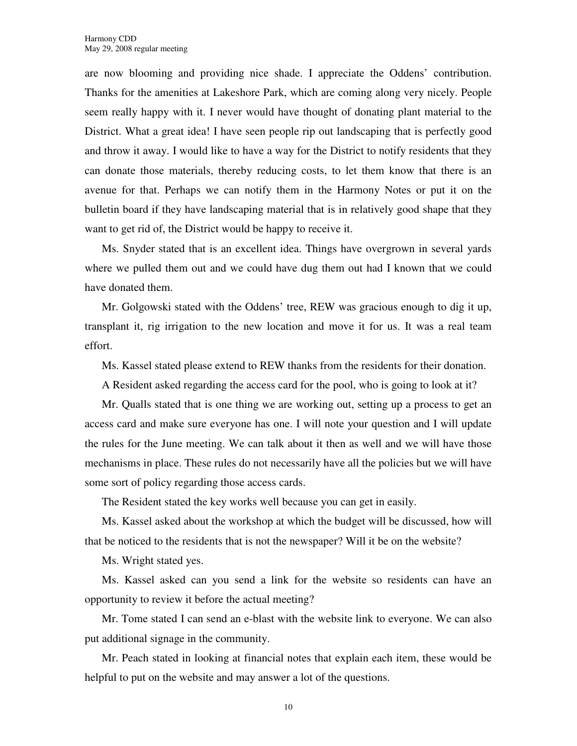are now blooming and providing nice shade. I appreciate the Oddens' contribution. Thanks for the amenities at Lakeshore Park, which are coming along very nicely. People seem really happy with it. I never would have thought of donating plant material to the District. What a great idea! I have seen people rip out landscaping that is perfectly good and throw it away. I would like to have a way for the District to notify residents that they can donate those materials, thereby reducing costs, to let them know that there is an avenue for that. Perhaps we can notify them in the Harmony Notes or put it on the bulletin board if they have landscaping material that is in relatively good shape that they want to get rid of, the District would be happy to receive it.

Ms. Snyder stated that is an excellent idea. Things have overgrown in several yards where we pulled them out and we could have dug them out had I known that we could have donated them.

Mr. Golgowski stated with the Oddens' tree, REW was gracious enough to dig it up, transplant it, rig irrigation to the new location and move it for us. It was a real team effort.

Ms. Kassel stated please extend to REW thanks from the residents for their donation.

A Resident asked regarding the access card for the pool, who is going to look at it?

Mr. Qualls stated that is one thing we are working out, setting up a process to get an access card and make sure everyone has one. I will note your question and I will update the rules for the June meeting. We can talk about it then as well and we will have those mechanisms in place. These rules do not necessarily have all the policies but we will have some sort of policy regarding those access cards.

The Resident stated the key works well because you can get in easily.

Ms. Kassel asked about the workshop at which the budget will be discussed, how will that be noticed to the residents that is not the newspaper? Will it be on the website?

Ms. Wright stated yes.

Ms. Kassel asked can you send a link for the website so residents can have an opportunity to review it before the actual meeting?

Mr. Tome stated I can send an e-blast with the website link to everyone. We can also put additional signage in the community.

Mr. Peach stated in looking at financial notes that explain each item, these would be helpful to put on the website and may answer a lot of the questions.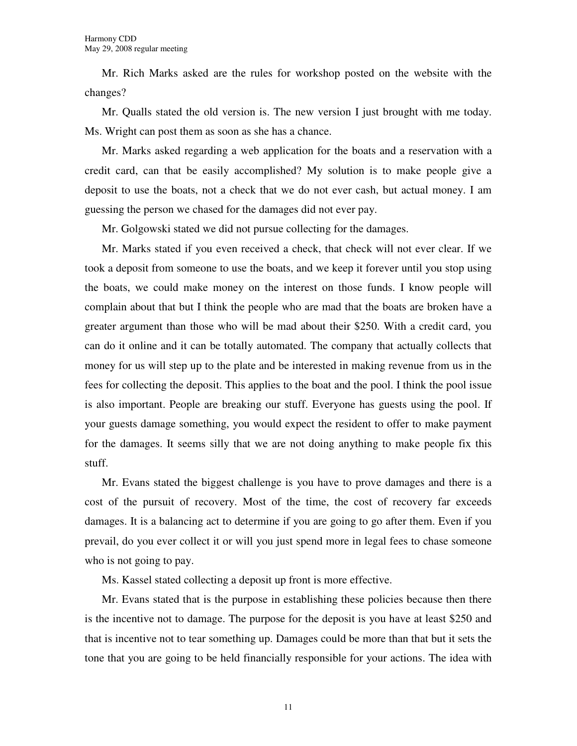Mr. Rich Marks asked are the rules for workshop posted on the website with the changes?

Mr. Qualls stated the old version is. The new version I just brought with me today. Ms. Wright can post them as soon as she has a chance.

Mr. Marks asked regarding a web application for the boats and a reservation with a credit card, can that be easily accomplished? My solution is to make people give a deposit to use the boats, not a check that we do not ever cash, but actual money. I am guessing the person we chased for the damages did not ever pay.

Mr. Golgowski stated we did not pursue collecting for the damages.

Mr. Marks stated if you even received a check, that check will not ever clear. If we took a deposit from someone to use the boats, and we keep it forever until you stop using the boats, we could make money on the interest on those funds. I know people will complain about that but I think the people who are mad that the boats are broken have a greater argument than those who will be mad about their \$250. With a credit card, you can do it online and it can be totally automated. The company that actually collects that money for us will step up to the plate and be interested in making revenue from us in the fees for collecting the deposit. This applies to the boat and the pool. I think the pool issue is also important. People are breaking our stuff. Everyone has guests using the pool. If your guests damage something, you would expect the resident to offer to make payment for the damages. It seems silly that we are not doing anything to make people fix this stuff.

Mr. Evans stated the biggest challenge is you have to prove damages and there is a cost of the pursuit of recovery. Most of the time, the cost of recovery far exceeds damages. It is a balancing act to determine if you are going to go after them. Even if you prevail, do you ever collect it or will you just spend more in legal fees to chase someone who is not going to pay.

Ms. Kassel stated collecting a deposit up front is more effective.

Mr. Evans stated that is the purpose in establishing these policies because then there is the incentive not to damage. The purpose for the deposit is you have at least \$250 and that is incentive not to tear something up. Damages could be more than that but it sets the tone that you are going to be held financially responsible for your actions. The idea with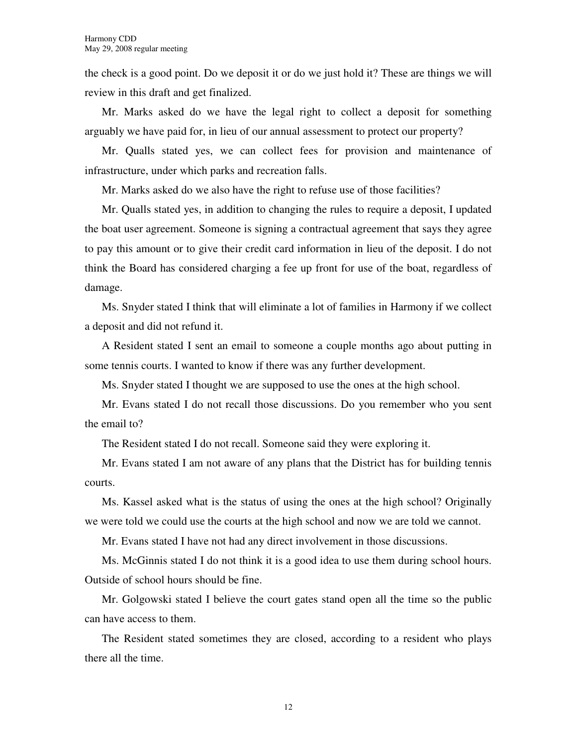the check is a good point. Do we deposit it or do we just hold it? These are things we will review in this draft and get finalized.

Mr. Marks asked do we have the legal right to collect a deposit for something arguably we have paid for, in lieu of our annual assessment to protect our property?

Mr. Qualls stated yes, we can collect fees for provision and maintenance of infrastructure, under which parks and recreation falls.

Mr. Marks asked do we also have the right to refuse use of those facilities?

Mr. Qualls stated yes, in addition to changing the rules to require a deposit, I updated the boat user agreement. Someone is signing a contractual agreement that says they agree to pay this amount or to give their credit card information in lieu of the deposit. I do not think the Board has considered charging a fee up front for use of the boat, regardless of damage.

Ms. Snyder stated I think that will eliminate a lot of families in Harmony if we collect a deposit and did not refund it.

A Resident stated I sent an email to someone a couple months ago about putting in some tennis courts. I wanted to know if there was any further development.

Ms. Snyder stated I thought we are supposed to use the ones at the high school.

Mr. Evans stated I do not recall those discussions. Do you remember who you sent the email to?

The Resident stated I do not recall. Someone said they were exploring it.

Mr. Evans stated I am not aware of any plans that the District has for building tennis courts.

Ms. Kassel asked what is the status of using the ones at the high school? Originally we were told we could use the courts at the high school and now we are told we cannot.

Mr. Evans stated I have not had any direct involvement in those discussions.

Ms. McGinnis stated I do not think it is a good idea to use them during school hours. Outside of school hours should be fine.

Mr. Golgowski stated I believe the court gates stand open all the time so the public can have access to them.

The Resident stated sometimes they are closed, according to a resident who plays there all the time.